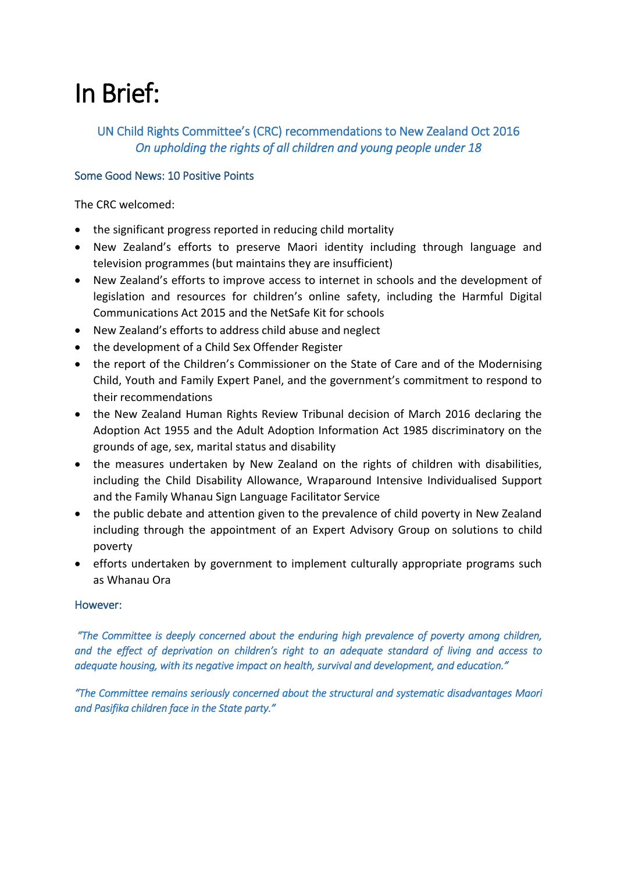# In Brief:

## UN Child Rights Committee's (CRC) recommendations to New Zealand Oct 2016 *On upholding the rights of all children and young people under 18*

## Some Good News: 10 Positive Points

The CRC welcomed:

- the significant progress reported in reducing child mortality
- New Zealand's efforts to preserve Maori identity including through language and television programmes (but maintains they are insufficient)
- New Zealand's efforts to improve access to internet in schools and the development of legislation and resources for children's online safety, including the Harmful Digital Communications Act 2015 and the NetSafe Kit for schools
- New Zealand's efforts to address child abuse and neglect
- the development of a Child Sex Offender Register
- the report of the Children's Commissioner on the State of Care and of the Modernising Child, Youth and Family Expert Panel, and the government's commitment to respond to their recommendations
- the New Zealand Human Rights Review Tribunal decision of March 2016 declaring the Adoption Act 1955 and the Adult Adoption Information Act 1985 discriminatory on the grounds of age, sex, marital status and disability
- the measures undertaken by New Zealand on the rights of children with disabilities, including the Child Disability Allowance, Wraparound Intensive Individualised Support and the Family Whanau Sign Language Facilitator Service
- the public debate and attention given to the prevalence of child poverty in New Zealand including through the appointment of an Expert Advisory Group on solutions to child poverty
- efforts undertaken by government to implement culturally appropriate programs such as Whanau Ora

## However:

 *"The Committee is deeply concerned about the enduring high prevalence of poverty among children, and the effect of deprivation on children's right to an adequate standard of living and access to adequate housing, with its negative impact on health, survival and development, and education."* 

*"The Committee remains seriously concerned about the structural and systematic disadvantages Maori and Pasifika children face in the State party."*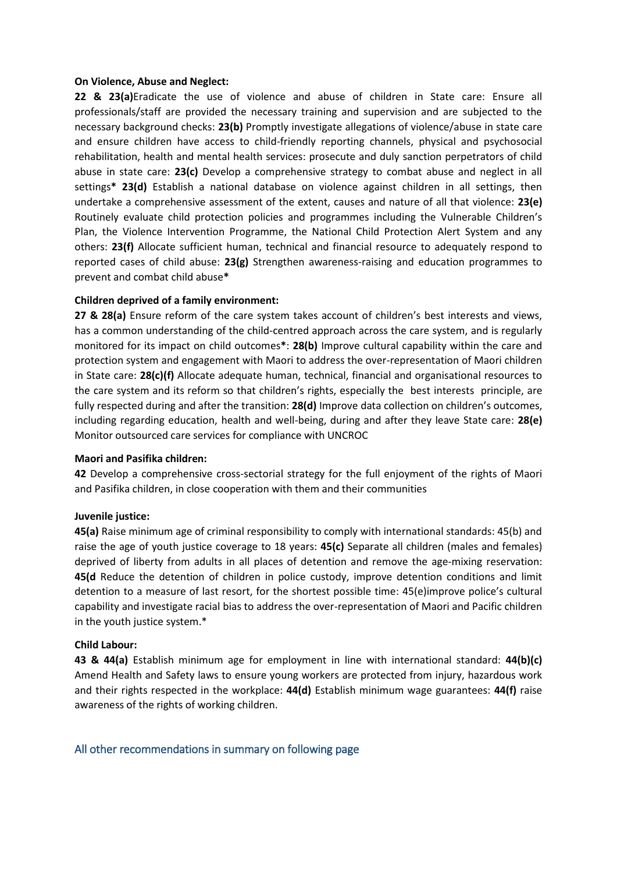#### **On Violence, Abuse and Neglect:**

**22 & 23(a)**Eradicate the use of violence and abuse of children in State care: Ensure all professionals/staff are provided the necessary training and supervision and are subjected to the necessary background checks: **23(b)** Promptly investigate allegations of violence/abuse in state care and ensure children have access to child-friendly reporting channels, physical and psychosocial rehabilitation, health and mental health services: prosecute and duly sanction perpetrators of child abuse in state care: **23(c)** Develop a comprehensive strategy to combat abuse and neglect in all settings**\* 23(d)** Establish a national database on violence against children in all settings, then undertake a comprehensive assessment of the extent, causes and nature of all that violence: **23(e)**  Routinely evaluate child protection policies and programmes including the Vulnerable Children's Plan, the Violence Intervention Programme, the National Child Protection Alert System and any others: **23(f)** Allocate sufficient human, technical and financial resource to adequately respond to reported cases of child abuse: **23(g)** Strengthen awareness-raising and education programmes to prevent and combat child abuse**\***

#### **Children deprived of a family environment:**

**27 & 28(a)** Ensure reform of the care system takes account of children's best interests and views, has a common understanding of the child-centred approach across the care system, and is regularly monitored for its impact on child outcomes**\***: **28(b)** Improve cultural capability within the care and protection system and engagement with Maori to address the over-representation of Maori children in State care: **28(c)(f)** Allocate adequate human, technical, financial and organisational resources to the care system and its reform so that children's rights, especially the best interests principle, are fully respected during and after the transition: **28(d)** Improve data collection on children's outcomes, including regarding education, health and well-being, during and after they leave State care: **28(e)**  Monitor outsourced care services for compliance with UNCROC

#### **Maori and Pasifika children:**

**42** Develop a comprehensive cross-sectorial strategy for the full enjoyment of the rights of Maori and Pasifika children, in close cooperation with them and their communities

#### **Juvenile justice:**

**45(a)** Raise minimum age of criminal responsibility to comply with international standards: 45(b) and raise the age of youth justice coverage to 18 years: **45(c)** Separate all children (males and females) deprived of liberty from adults in all places of detention and remove the age-mixing reservation: **45(d** Reduce the detention of children in police custody, improve detention conditions and limit detention to a measure of last resort, for the shortest possible time: 45(e)improve police's cultural capability and investigate racial bias to address the over-representation of Maori and Pacific children in the youth justice system.\*

#### **Child Labour:**

**43 & 44(a)** Establish minimum age for employment in line with international standard: **44(b)(c)**  Amend Health and Safety laws to ensure young workers are protected from injury, hazardous work and their rights respected in the workplace: **44(d)** Establish minimum wage guarantees: **44(f)** raise awareness of the rights of working children.

#### All other recommendations in summary on following page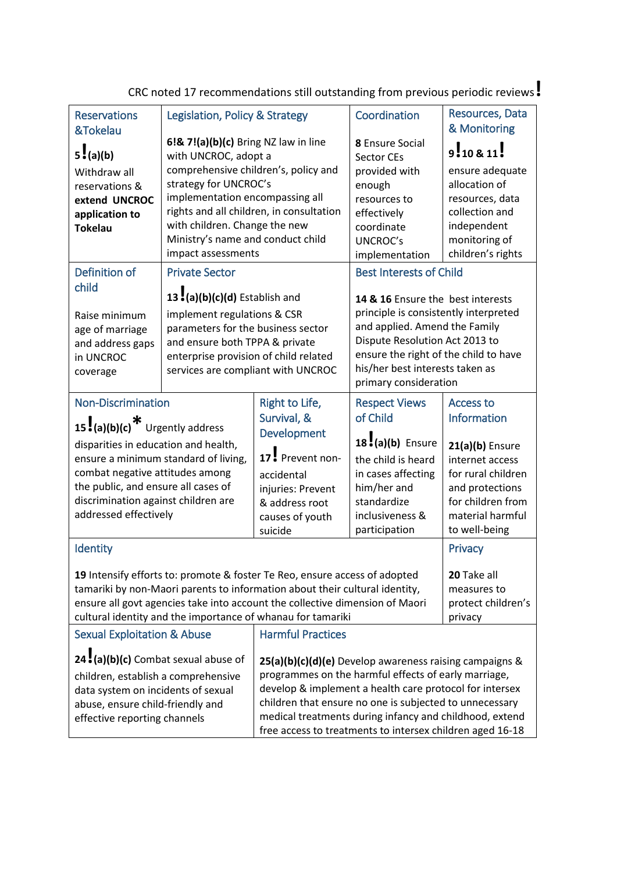| <b>Reservations</b><br>&Tokelau                                                                                                              | Legislation, Policy & Strategy                                              |                                                                                                                 | Coordination                                                    | Resources, Data<br>& Monitoring       |  |
|----------------------------------------------------------------------------------------------------------------------------------------------|-----------------------------------------------------------------------------|-----------------------------------------------------------------------------------------------------------------|-----------------------------------------------------------------|---------------------------------------|--|
| 5!(a)(b)                                                                                                                                     | 6!& 7!(a)(b)(c) Bring NZ law in line<br>with UNCROC, adopt a                |                                                                                                                 | 8 Ensure Social<br><b>Sector CEs</b>                            | 9!10811!                              |  |
| Withdraw all                                                                                                                                 | comprehensive children's, policy and                                        |                                                                                                                 | provided with                                                   | ensure adequate                       |  |
| reservations &                                                                                                                               | strategy for UNCROC's                                                       |                                                                                                                 | enough                                                          | allocation of                         |  |
| extend UNCROC                                                                                                                                | implementation encompassing all<br>rights and all children, in consultation |                                                                                                                 | resources to                                                    | resources, data<br>collection and     |  |
| application to<br><b>Tokelau</b>                                                                                                             | with children. Change the new                                               |                                                                                                                 | effectively<br>coordinate                                       | independent                           |  |
|                                                                                                                                              | Ministry's name and conduct child                                           |                                                                                                                 | <b>UNCROC's</b>                                                 | monitoring of                         |  |
|                                                                                                                                              | impact assessments                                                          |                                                                                                                 | implementation                                                  | children's rights                     |  |
| Definition of                                                                                                                                | <b>Private Sector</b>                                                       |                                                                                                                 | <b>Best Interests of Child</b>                                  |                                       |  |
| child                                                                                                                                        | 13:(a)(b)(c)(d) Establish and                                               |                                                                                                                 | 14 & 16 Ensure the best interests                               |                                       |  |
| Raise minimum                                                                                                                                | implement regulations & CSR                                                 |                                                                                                                 | principle is consistently interpreted                           |                                       |  |
| age of marriage                                                                                                                              | parameters for the business sector                                          |                                                                                                                 | and applied. Amend the Family<br>Dispute Resolution Act 2013 to |                                       |  |
| and address gaps<br>in UNCROC                                                                                                                |                                                                             | and ensure both TPPA & private<br>enterprise provision of child related                                         |                                                                 | ensure the right of the child to have |  |
| coverage                                                                                                                                     | services are compliant with UNCROC                                          |                                                                                                                 | his/her best interests taken as                                 |                                       |  |
|                                                                                                                                              |                                                                             |                                                                                                                 | primary consideration                                           |                                       |  |
| <b>Non-Discrimination</b>                                                                                                                    |                                                                             | Right to Life,                                                                                                  | <b>Respect Views</b>                                            | <b>Access to</b>                      |  |
| 15. $(a)(b)(c)$ <sup>*</sup> Urgently address                                                                                                |                                                                             | Survival, &                                                                                                     | of Child                                                        | Information                           |  |
|                                                                                                                                              |                                                                             | Development                                                                                                     | $18. (a)(b)$ Ensure                                             | $21(a)(b)$ Ensure                     |  |
| disparities in education and health,<br>ensure a minimum standard of living,                                                                 |                                                                             | 17 Prevent non-                                                                                                 | the child is heard                                              | internet access                       |  |
| combat negative attitudes among                                                                                                              |                                                                             | accidental                                                                                                      | in cases affecting                                              | for rural children                    |  |
| the public, and ensure all cases of                                                                                                          |                                                                             | injuries: Prevent                                                                                               | him/her and                                                     | and protections                       |  |
| discrimination against children are                                                                                                          |                                                                             | & address root                                                                                                  | standardize                                                     | for children from                     |  |
| addressed effectively                                                                                                                        |                                                                             | causes of youth                                                                                                 | inclusiveness &<br>participation                                | material harmful<br>to well-being     |  |
|                                                                                                                                              |                                                                             | suicide                                                                                                         |                                                                 |                                       |  |
| Identity                                                                                                                                     |                                                                             |                                                                                                                 |                                                                 | Privacy                               |  |
|                                                                                                                                              |                                                                             | 19 Intensify efforts to: promote & foster Te Reo, ensure access of adopted                                      |                                                                 | 20 Take all                           |  |
| tamariki by non-Maori parents to information about their cultural identity,                                                                  | measures to                                                                 |                                                                                                                 |                                                                 |                                       |  |
|                                                                                                                                              |                                                                             | ensure all govt agencies take into account the collective dimension of Maori                                    |                                                                 | protect children's                    |  |
| cultural identity and the importance of whanau for tamariki<br>privacy<br><b>Harmful Practices</b><br><b>Sexual Exploitation &amp; Abuse</b> |                                                                             |                                                                                                                 |                                                                 |                                       |  |
|                                                                                                                                              |                                                                             |                                                                                                                 |                                                                 |                                       |  |
| 24 (a)(b)(c) Combat sexual abuse of                                                                                                          |                                                                             | 25(a)(b)(c)(d)(e) Develop awareness raising campaigns &                                                         |                                                                 |                                       |  |
| children, establish a comprehensive                                                                                                          |                                                                             | programmes on the harmful effects of early marriage,<br>develop & implement a health care protocol for intersex |                                                                 |                                       |  |
| data system on incidents of sexual<br>abuse, ensure child-friendly and                                                                       |                                                                             | children that ensure no one is subjected to unnecessary                                                         |                                                                 |                                       |  |
| effective reporting channels                                                                                                                 |                                                                             | medical treatments during infancy and childhood, extend                                                         |                                                                 |                                       |  |
|                                                                                                                                              |                                                                             | free access to treatments to intersex children aged 16-18                                                       |                                                                 |                                       |  |
|                                                                                                                                              |                                                                             |                                                                                                                 |                                                                 |                                       |  |

CRC noted 17 recommendations still outstanding from previous periodic reviews**!**